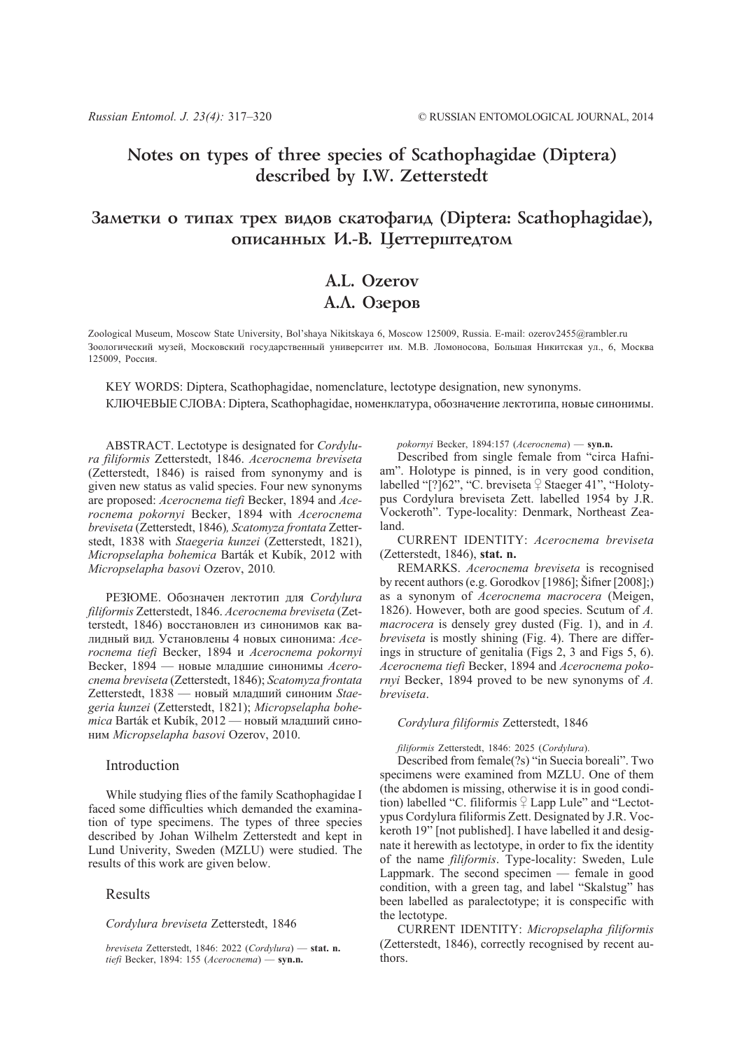# **Notes on types of three species of Scathophagidae (Diptera) described by I.W. Zetterstedt**

## Заметки о типах трех видов скатофагид (Diptera: Scathophagidae), описанных И.-В. Цеттерштедтом

# **A.L. Ozerov** А.Л. Озеров

Zoological Museum, Moscow State University, Bol'shaya Nikitskaya 6, Moscow 125009, Russia. E-mail: ozerov2455@rambler.ru Зоологический музей, Московский государственный университет им. М.В. Ломоносова, Большая Никитская ул., 6, Москва 125009, Россия.

KEY WORDS: Diptera, Scathophagidae, nomenclature, lectotype designation, new synonyms. КЛЮЧЕВЫЕ СЛОВА: Diptera, Scathophagidae, номенклатура, обозначение лектотипа, новые синонимы.

ABSTRACT. Lectotype is designated for *Cordylura filiformis* Zetterstedt, 1846. *Acerocnema breviseta* (Zetterstedt, 1846) is raised from synonymy and is given new status as valid species. Four new synonyms are proposed: *Acerocnema tiefi* Becker, 1894 and *Acerocnema pokornyi* Becker, 1894 with *Acerocnema breviseta* (Zetterstedt, 1846)*, Scatomyza frontata* Zetterstedt, 1838 with *Staegeria kunzei* (Zetterstedt, 1821), *Micropselapha bohemica* Barták et Kubík, 2012 with *Micropselapha basovi* Ozerov, 2010*.*

РЕЗЮМЕ. Обозначен лектотип для *Cordylura filiformis* Zetterstedt, 1846. *Acerocnema breviseta* (Zetterstedt, 1846) восстановлен из синонимов как валидный вид. Установлены 4 новых синонима: *Acerocnema tiefi* Becker, 1894 и *Acerocnema pokornyi* Becker, 1894 — новые младшие синонимы *Acerocnema breviseta* (Zetterstedt, 1846); *Scatomyza frontata* Zetterstedt, 1838 — новый младший синоним *Staegeria kunzei* (Zetterstedt, 1821); *Micropselapha bohemica* Barták et Kubík, 2012 — новый младший синоним *Micropselapha basovi* Ozerov, 2010.

## Introduction

While studying flies of the family Scathophagidae I faced some difficulties which demanded the examination of type specimens. The types of three species described by Johan Wilhelm Zetterstedt and kept in Lund Univerity, Sweden (MZLU) were studied. The results of this work are given below.

## Results

#### *Cordylura breviseta* Zetterstedt, 1846

*breviseta* Zetterstedt, 1846: 2022 (*Cordylura*) — **stat. n.** *tiefi* Becker, 1894: 155 (*Acerocnema*) — **syn.n.**

*pokornyi* Becker, 1894:157 (*Acerocnema*) — **syn.n.**

Described from single female from "circa Hafniam". Holotype is pinned, is in very good condition, labelled "[?] $62$ ", "C. breviseta  $\frac{1}{2}$  Staeger 41", "Holotypus Cordylura breviseta Zett. labelled 1954 by J.R. Vockeroth". Type-locality: Denmark, Northeast Zealand.

CURRENT IDENTITY: *Acerocnema breviseta* (Zetterstedt, 1846), **stat. n.**

REMARKS. *Acerocnema breviseta* is recognised by recent authors (e.g. Gorodkov [1986]; Šifner [2008];) as a synonym of *Acerocnema macrocera* (Meigen, 1826). However, both are good species. Scutum of *A. macrocera* is densely grey dusted (Fig. 1), and in *A. breviseta* is mostly shining (Fig. 4). There are differings in structure of genitalia (Figs 2, 3 and Figs 5, 6). *Acerocnema tiefi* Becker, 1894 and *Acerocnema pokornyi* Becker, 1894 proved to be new synonyms of *A. breviseta*.

### *Cordylura filiformis* Zetterstedt, 1846

*filiformis* Zetterstedt, 1846: 2025 (*Cordylura*).

Described from female(?s) "in Suecia boreali". Two specimens were examined from MZLU. One of them (the abdomen is missing, otherwise it is in good condition) labelled "C. filiformis  $\frac{1}{2}$  Lapp Lule" and "Lectotypus Cordylura filiformis Zett. Designated by J.R. Vockeroth 19" [not published]. I have labelled it and designate it herewith as lectotype, in order to fix the identity of the name *filiformis*. Type-locality: Sweden, Lule Lappmark. The second specimen — female in good condition, with a green tag, and label "Skalstug" has been labelled as paralectotype; it is conspecific with the lectotype.

CURRENT IDENTITY: *Micropselapha filiformis* (Zetterstedt, 1846), correctly recognised by recent authors.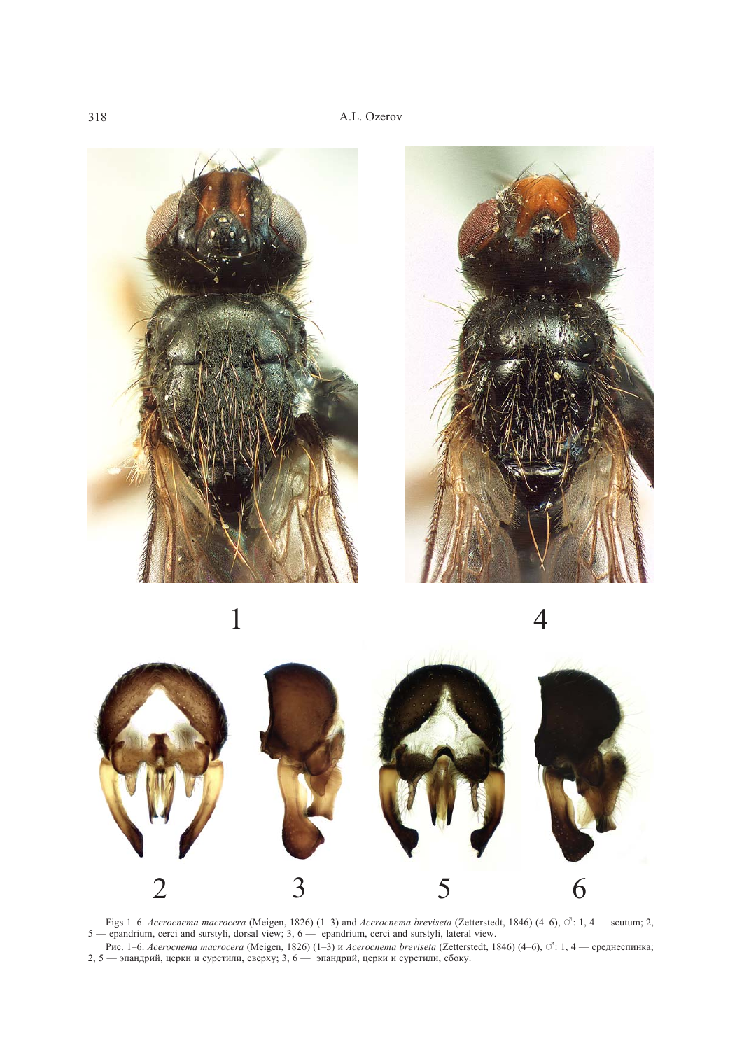







Figs 1–6. *Acerocnema macrocera* (Meigen, 1826) (1–3) and *Acerocnema breviseta* (Zetterstedt, 1846) (4–6),  $\circ$ : 1, 4 — scutum; 2, 5 — epandrium, cerci and surstyli, dorsal view; 3, 6 — epandrium, cerci and surstyli, lateral view.

Рис. 1–6. *Acerocnema macrocera* (Meigen, 1826) (1–3) и *Acerocnema breviseta* (Zetterstedt, 1846) (4–6), ♂: 1, 4 — среднеспинка; 2, 5 — эпандрий, церки и сурстили, сверху; 3, 6 — эпандрий, церки и сурстили, сбоку.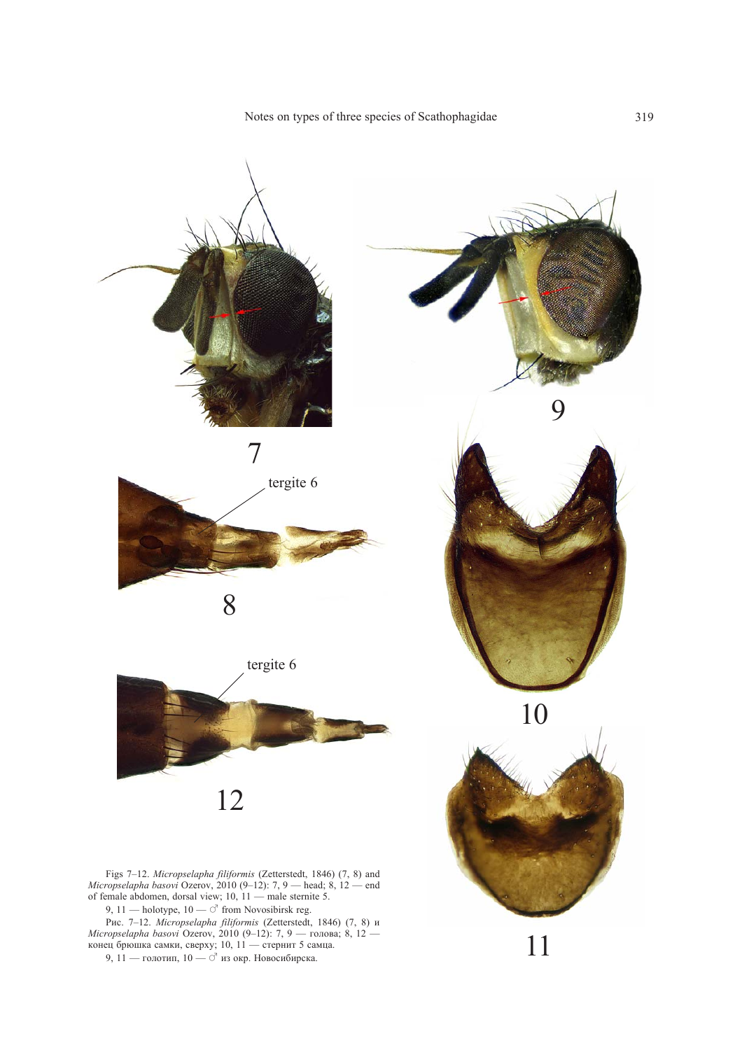